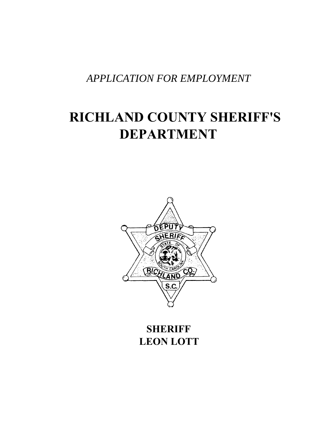*APPLICATION FOR EMPLOYMENT* 

# **RICHLAND COUNTY SHERIFF'S DEPARTMENT**



**SHERIFF LEON LOTT**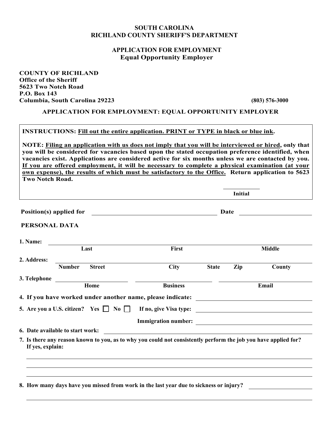## **SOUTH CAROLINA RICHLAND COUNTY SHERIFF'S DEPARTMENT**

# **APPLICATION FOR EMPLOYMENT Equal Opportunity Employer**

**COUNTY OF RICHLAND Office of the Sheriff 5623 Two Notch Road P.O. Box 143 Columbia, South Carolina 29223 (803) 576-3000** 

**APPLICATION FOR EMPLOYMENT: EQUAL OPPORTUNITY EMPLOYER** 

**INSTRUCTIONS: Fill out the entire application. PRINT or TYPE in black or blue ink.** 

**NOTE: Filing an application with us does not imply that you will be interviewed or hired, only that you will be considered for vacancies based upon the stated occupation preference identified, when vacancies exist. Applications are considered active for six months unless we are contacted by you. If you are offered employment, it will be necessary to complete a physical examination (at your own expense), the results of which must be satisfactory to the Office. Return application to 5623 Two Notch Road.** 

|                         |                                                                                                                 |                                                         |              | <b>Initial</b> |                            |
|-------------------------|-----------------------------------------------------------------------------------------------------------------|---------------------------------------------------------|--------------|----------------|----------------------------|
| Position(s) applied for |                                                                                                                 | <u> 1980 - Johann Barnett, fransk politik (d. 1980)</u> |              |                | Date <u>______________</u> |
| PERSONAL DATA           |                                                                                                                 |                                                         |              |                |                            |
| 1. Name:                |                                                                                                                 |                                                         |              |                |                            |
|                         | Last                                                                                                            | First                                                   |              |                | <b>Middle</b>              |
| 2. Address:             |                                                                                                                 |                                                         |              |                |                            |
|                         | <b>Number</b><br><b>Street</b>                                                                                  | <b>City</b>                                             | <b>State</b> | Zip            | County                     |
|                         |                                                                                                                 |                                                         |              |                |                            |
|                         |                                                                                                                 | <b>Business</b>                                         |              |                | Email                      |
|                         | 4. If you have worked under another name, please indicate: _____________________                                |                                                         |              |                |                            |
|                         |                                                                                                                 |                                                         |              |                |                            |
|                         |                                                                                                                 |                                                         |              |                |                            |
|                         | 6. Date available to start work:                                                                                |                                                         |              |                |                            |
| If yes, explain:        | 7. Is there any reason known to you, as to why you could not consistently perform the job you have applied for? |                                                         |              |                |                            |
|                         |                                                                                                                 |                                                         |              |                |                            |
|                         |                                                                                                                 |                                                         |              |                |                            |
|                         |                                                                                                                 |                                                         |              |                |                            |
|                         | 8. How many days have you missed from work in the last year due to sickness or injury?                          |                                                         |              |                |                            |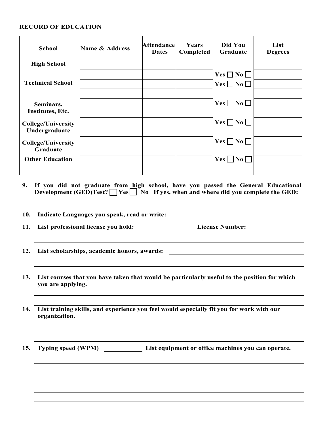# **RECORD OF EDUCATION**

| <b>School</b>                                | <b>Name &amp; Address</b>                                                            | <b>Attendance</b><br><b>Dates</b> | Years<br>Completed | Did You<br>Graduate  | List<br><b>Degrees</b> |
|----------------------------------------------|--------------------------------------------------------------------------------------|-----------------------------------|--------------------|----------------------|------------------------|
| <b>High School</b>                           |                                                                                      |                                   |                    |                      |                        |
|                                              |                                                                                      |                                   |                    | $Yes \Box No \Box$   |                        |
| <b>Technical School</b>                      |                                                                                      |                                   |                    | Yes $\Box$ No $\Box$ |                        |
| Seminars,                                    |                                                                                      |                                   |                    | $Yes \Box No \Box$   |                        |
| Institutes, Etc.                             |                                                                                      |                                   |                    |                      |                        |
| <b>College/University</b><br>Undergraduate   |                                                                                      |                                   |                    | $Yes \Box No \Box$   |                        |
| <b>College/University</b><br><b>Graduate</b> |                                                                                      |                                   |                    | $Yes \Box No \Box$   |                        |
| <b>Other Education</b>                       |                                                                                      |                                   |                    | $Yes \Box No \Box$   |                        |
|                                              | 9. If you did not graduate from high school, have you passed the General Educational |                                   |                    |                      |                        |

**9. If you did not graduate from high school, have you passed the General Educational**  Development (GED)Test? Yes No If yes, when and where did you complete the GED:

| 10. | Indicate Languages you speak, read or write:<br><u> 1980 - Jan Barat, martin a</u>                                |
|-----|-------------------------------------------------------------------------------------------------------------------|
| 11. | List professional license you hold: _____________________________License Number: ___________________              |
|     | 12. List scholarships, academic honors, awards: ________________________________                                  |
| 13. | List courses that you have taken that would be particularly useful to the position for which<br>you are applying. |
|     | 14. List training skills, and experience you feel would especially fit you for work with our<br>organization.     |
| 15. | Typing speed (WPM) List equipment or office machines you can operate.                                             |
|     |                                                                                                                   |
|     |                                                                                                                   |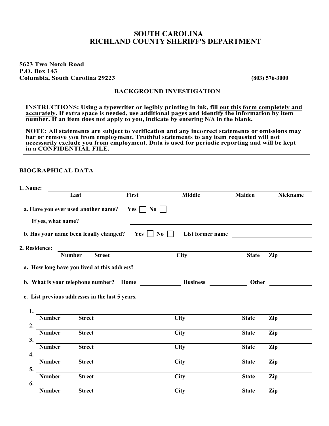# **SOUTH CAROLINA RICHLAND COUNTY SHERIFF'S DEPARTMENT**

#### **5623 Two Notch Road P.O. Box 143 Columbia, South Carolina 29223 (803) 576-3000**

#### **BACKGROUND INVESTIGATION**

**INSTRUCTIONS:** Using a typewriter or legibly printing in ink, fill out this form completely and **accurately. If extra space is needed, use additional pages and identify the information by item number. If an item does not apply to you, indicate by entering N/A in the blank.** 

**NOTE: All statements are subject to verification and any incorrect statements or omissions may bar or remove you from employment. Truthful statements to any item requested will not necessarily exclude you from employment. Data is used for periodic reporting and will be kept in a CONFIDENTIAL FILE.** 

#### **BIOGRAPHICAL DATA**

| 1. Name:                  |                                                 |                                                                    |                                                 |               |                                             |
|---------------------------|-------------------------------------------------|--------------------------------------------------------------------|-------------------------------------------------|---------------|---------------------------------------------|
|                           | Last                                            | First                                                              | <b>Middle</b>                                   | <b>Maiden</b> | Nickname                                    |
| If yes, what name?        |                                                 | a. Have you ever used another name? Yes $\Box$ No $\Box$           |                                                 |               |                                             |
|                           |                                                 | <b>b.</b> Has your name been legally changed? Yes $\Box$ No $\Box$ | List former name                                |               | <u> 1980 - Jan Samuel Barbara, martin a</u> |
| 2. Residence:             |                                                 |                                                                    |                                                 |               |                                             |
|                           | <b>Street</b><br><b>Number</b>                  |                                                                    | <b>City</b>                                     | <b>State</b>  | Zip                                         |
|                           | c. List previous addresses in the last 5 years. |                                                                    | b. What is your telephone number? Home Business | Other         |                                             |
| 1.<br><b>Number</b><br>2. | <b>Street</b>                                   |                                                                    | City                                            | <b>State</b>  | Zip                                         |
| <b>Number</b><br>3.       | <b>Street</b>                                   |                                                                    | <b>City</b>                                     | <b>State</b>  | Zip                                         |
| <b>Number</b><br>4.       | <b>Street</b>                                   |                                                                    | <b>City</b>                                     | <b>State</b>  | Zip                                         |
| <b>Number</b><br>5.       | <b>Street</b>                                   |                                                                    | City                                            | <b>State</b>  | Zip                                         |
| <b>Number</b><br>6.       | <b>Street</b>                                   |                                                                    | <b>City</b>                                     | <b>State</b>  | Zip                                         |
| <b>Number</b>             | <b>Street</b>                                   |                                                                    | <b>City</b>                                     | <b>State</b>  | Zip                                         |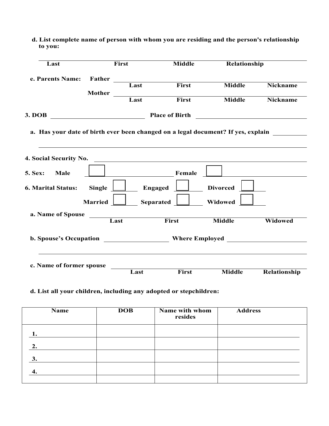| Last                                                                             |                | First       | <b>Middle</b>                                                                                                                                                                                                                        | Relationship    |                 |
|----------------------------------------------------------------------------------|----------------|-------------|--------------------------------------------------------------------------------------------------------------------------------------------------------------------------------------------------------------------------------------|-----------------|-----------------|
| e. Parents Name: Father                                                          |                |             |                                                                                                                                                                                                                                      |                 |                 |
|                                                                                  |                | Last        | First                                                                                                                                                                                                                                | <b>Middle</b>   | <b>Nickname</b> |
|                                                                                  |                | Mother Last | First                                                                                                                                                                                                                                | <b>Middle</b>   | <b>Nickname</b> |
|                                                                                  |                |             |                                                                                                                                                                                                                                      |                 |                 |
| a. Has your date of birth ever been changed on a legal document? If yes, explain |                |             |                                                                                                                                                                                                                                      |                 |                 |
|                                                                                  |                |             |                                                                                                                                                                                                                                      |                 |                 |
| 4. Social Security No.                                                           |                |             | <u>and the contract of the contract of the contract of the contract of the contract of the contract of the contract of the contract of the contract of the contract of the contract of the contract of the contract of the contr</u> |                 |                 |
| 5. Sex: Male                                                                     |                |             | Female                                                                                                                                                                                                                               |                 |                 |
| <b>6. Marital Status:</b>                                                        | Single [       |             | Engaged                                                                                                                                                                                                                              | <b>Divorced</b> |                 |
|                                                                                  | <b>Married</b> |             | Separated $\Box$                                                                                                                                                                                                                     | Widowed         |                 |
| a. Name of Spouse Last                                                           |                |             | First                                                                                                                                                                                                                                |                 |                 |
|                                                                                  |                |             |                                                                                                                                                                                                                                      | <b>Middle</b>   | Widowed         |
| b. Spouse's Occupation ________________________Where Employed                    |                |             |                                                                                                                                                                                                                                      |                 |                 |
|                                                                                  |                |             |                                                                                                                                                                                                                                      |                 |                 |
| c. Name of former spouse                                                         |                |             |                                                                                                                                                                                                                                      |                 |                 |
|                                                                                  |                | Last        | First                                                                                                                                                                                                                                | <b>Middle</b>   | Relationship    |

 **d. List complete name of person with whom you are residing and the person's relationship to you:** 

# **d. List all your children, including any adopted or stepchildren:**

| <b>Name</b> | <b>DOB</b> | Name with whom<br>resides | <b>Address</b> |
|-------------|------------|---------------------------|----------------|
|             |            |                           |                |
| 2.          |            |                           |                |
| 3.          |            |                           |                |
|             |            |                           |                |
|             |            |                           |                |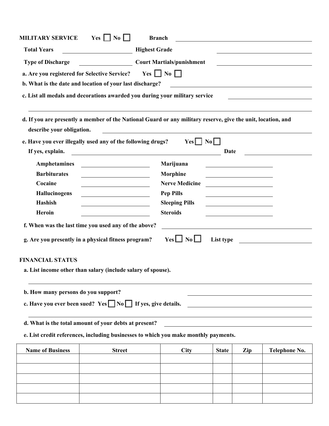| <b>MILITARY SERVICE</b>                                                                                      | $Yes \Box No \Box$                                                                                                   | <b>Branch</b> |                                                                                                                      |              |                                                                                                                      |               |
|--------------------------------------------------------------------------------------------------------------|----------------------------------------------------------------------------------------------------------------------|---------------|----------------------------------------------------------------------------------------------------------------------|--------------|----------------------------------------------------------------------------------------------------------------------|---------------|
| <b>Total Years</b>                                                                                           | Highest Grade                                                                                                        |               |                                                                                                                      |              |                                                                                                                      |               |
| <b>Type of Discharge</b>                                                                                     | Court Martials/punishment                                                                                            |               |                                                                                                                      |              |                                                                                                                      |               |
| a. Are you registered for Selective Service?                                                                 |                                                                                                                      |               | Yes $\Box$ No $\Box$                                                                                                 |              |                                                                                                                      |               |
| b. What is the date and location of your last discharge?                                                     |                                                                                                                      |               |                                                                                                                      |              |                                                                                                                      |               |
| c. List all medals and decorations awarded you during your military service                                  |                                                                                                                      |               |                                                                                                                      |              |                                                                                                                      |               |
|                                                                                                              |                                                                                                                      |               |                                                                                                                      |              |                                                                                                                      |               |
| d. If you are presently a member of the National Guard or any military reserve, give the unit, location, and |                                                                                                                      |               |                                                                                                                      |              |                                                                                                                      |               |
| describe your obligation.                                                                                    |                                                                                                                      |               | <u> 1980 - Johann Barn, mars ann an t-Amhain Aonaich an t-Aonaich an t-Aonaich ann an t-Aonaich ann an t-Aonaich</u> |              |                                                                                                                      |               |
| e. Have you ever illegally used any of the following drugs?                                                  |                                                                                                                      |               | $Yes \Box No \Box$                                                                                                   |              |                                                                                                                      |               |
| If yes, explain.                                                                                             | <u> 1989 - Johann Barn, mars eta bainar eta bainar eta baina eta baina eta baina eta baina eta baina eta baina e</u> |               |                                                                                                                      | Date         |                                                                                                                      |               |
| Amphetamines                                                                                                 |                                                                                                                      |               | Marijuana                                                                                                            |              |                                                                                                                      |               |
| <b>Barbiturates</b>                                                                                          |                                                                                                                      |               | Morphine                                                                                                             |              |                                                                                                                      |               |
| Cocaine                                                                                                      |                                                                                                                      |               | <b>Nerve Medicine</b>                                                                                                |              | <u> 1980 - Johann Barbara, martin a</u>                                                                              |               |
| Hallucinogens                                                                                                |                                                                                                                      |               | <b>Pep Pills</b>                                                                                                     |              | <u> 1989 - Johann Barn, mars eta bat erroman erroman erroman erroman erroman erroman erroman erroman erroman err</u> |               |
| Hashish                                                                                                      |                                                                                                                      |               | <b>Sleeping Pills</b>                                                                                                |              |                                                                                                                      |               |
| Heroin                                                                                                       |                                                                                                                      |               | <b>Steroids</b>                                                                                                      |              |                                                                                                                      |               |
| f. When was the last time you used any of the above?                                                         |                                                                                                                      |               |                                                                                                                      |              |                                                                                                                      |               |
| g. Are you presently in a physical fitness program?                                                          |                                                                                                                      |               | $Yes \Box No \Box$                                                                                                   |              |                                                                                                                      | List type     |
| <b>FINANCIAL STATUS</b>                                                                                      |                                                                                                                      |               |                                                                                                                      |              |                                                                                                                      |               |
|                                                                                                              | a. List income other than salary (include salary of spouse).                                                         |               |                                                                                                                      |              |                                                                                                                      |               |
| b. How many persons do you support?                                                                          |                                                                                                                      |               |                                                                                                                      |              |                                                                                                                      |               |
| c. Have you ever been sued? Yes $\Box$ No $\Box$ If yes, give details.                                       |                                                                                                                      |               |                                                                                                                      |              |                                                                                                                      |               |
|                                                                                                              |                                                                                                                      |               |                                                                                                                      |              |                                                                                                                      |               |
| d. What is the total amount of your debts at present?                                                        |                                                                                                                      |               |                                                                                                                      |              |                                                                                                                      |               |
|                                                                                                              | e. List credit references, including businesses to which you make monthly payments.                                  |               |                                                                                                                      |              |                                                                                                                      |               |
| <b>Name of Business</b>                                                                                      | <b>Street</b>                                                                                                        |               | <b>City</b>                                                                                                          | <b>State</b> | Zip                                                                                                                  | Telephone No. |
|                                                                                                              |                                                                                                                      |               |                                                                                                                      |              |                                                                                                                      |               |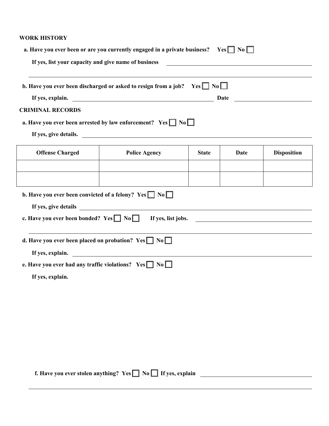#### **WORK HISTORY**

|                                                  | b. Have you ever been discharged or asked to resign from a job? Yes $\Box$ No $\Box$ |              |      |                    |
|--------------------------------------------------|--------------------------------------------------------------------------------------|--------------|------|--------------------|
|                                                  | If yes, explain.                                                                     |              |      |                    |
| <b>CRIMINAL RECORDS</b>                          |                                                                                      |              |      |                    |
|                                                  | a. Have you ever been arrested by law enforcement? Yes $\Box$ No $\Box$              |              |      |                    |
|                                                  | If yes, give details.                                                                |              |      |                    |
| <b>Offense Charged</b>                           | <b>Police Agency</b>                                                                 | <b>State</b> | Date | <b>Disposition</b> |
|                                                  |                                                                                      |              |      |                    |
|                                                  |                                                                                      |              |      |                    |
|                                                  | <b>b.</b> Have you ever been convicted of a felony? Yes $\Box$ No $\Box$             |              |      |                    |
|                                                  | If yes, give details                                                                 |              |      |                    |
| c. Have you ever been bonded? $Yes \Box No \Box$ |                                                                                      |              |      | If yes, list jobs. |
|                                                  |                                                                                      |              |      |                    |
|                                                  | d. Have you ever been placed on probation? Yes $\Box$ No $\Box$                      |              |      |                    |
|                                                  | If yes, explain.                                                                     |              |      |                    |
|                                                  | e. Have you ever had any traffic violations? $Yes \Box No \Box$                      |              |      |                    |
| If yes, explain.                                 |                                                                                      |              |      |                    |

**f.** Have you ever stolen anything? Yes  $\Box$  No  $\Box$  If yes, explain  $\Box$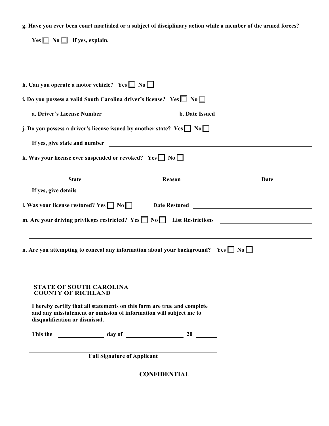**g. Have you ever been court martialed or a subject of disciplinary action while a member of the armed forces?** 

 **Yes No If yes, explain. h. Can you operate a motor vehicle?** Yes  $\Box$  No  $\Box$ **i. Do you possess a valid South Carolina driver's license?** Yes  $\Box$  No  $\Box$  **a. Driver's License Number b. Date Issued j. Do you possess a driver's license issued by another state?** Yes  $\Box$  No  $\Box$  **If yes, give state and number k. Was your license ever suspended or revoked?** Yes  $\Box$  No  $\Box$ **State Constanting Constanting Constanting Reason Date If yes, give details l. Was your license restored? Yes No Date Restored m.** Are your driving privileges restricted? Yes  $\Box$  No  $\Box$  List Restrictions  **n.** Are you attempting to conceal any information about your background? Yes  $\Box$  No  $\Box$ **STATE OF SOUTH CAROLINA COUNTY OF RICHLAND I hereby certify that all statements on this form are true and complete and any misstatement or omission of information will subject me to disqualification or dismissal. This the day of 20 Full Signature of Applicant** 

**CONFIDENTIAL**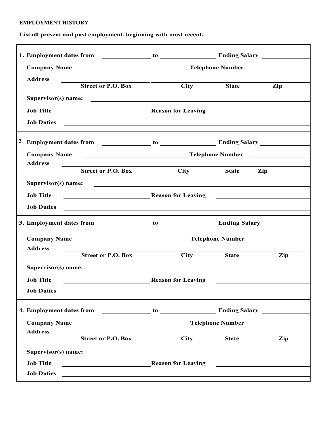# **EMPLOYMENT HISTORY**

**List all present and past employment, beginning with most recent.** 

| Company Name Telephone Number                                                                                                             |                                                             |              |                                                          |
|-------------------------------------------------------------------------------------------------------------------------------------------|-------------------------------------------------------------|--------------|----------------------------------------------------------|
| <b>Address</b>                                                                                                                            | <u> 1980 - Johann John Stone, mars et al. (</u>             |              |                                                          |
| <b>Street or P.O. Box</b>                                                                                                                 | <b>City</b>                                                 | <b>State</b> | Zip                                                      |
| Supervisor(s) name:                                                                                                                       |                                                             |              |                                                          |
| Reason for Leaving Theorem 2014<br><b>Job Title</b>                                                                                       |                                                             |              |                                                          |
| <b>Job Duties</b><br><u> 2000 - 2000 - 2000 - 2000 - 2000 - 2000 - 2000 - 2000 - 2000 - 2000 - 2000 - 2000 - 2000 - 2000 - 2000 - 200</u> |                                                             |              |                                                          |
|                                                                                                                                           |                                                             |              |                                                          |
| <b>Company Name</b>                                                                                                                       |                                                             |              |                                                          |
| <b>Address</b><br><u> 1989 - Johann Stoff, Amerikaansk politiker († 1908)</u>                                                             |                                                             |              |                                                          |
| <b>Street or P.O. Box</b>                                                                                                                 | <b>City</b>                                                 | State Zip    |                                                          |
| Supervisor(s) name:                                                                                                                       |                                                             |              |                                                          |
| <b>Job Title</b><br>Reason for Leaving                                                                                                    |                                                             |              | <u> 1980 - Andrea Stadt Britain, francuski filozof (</u> |
| Job Duties                                                                                                                                |                                                             |              |                                                          |
|                                                                                                                                           |                                                             |              |                                                          |
|                                                                                                                                           |                                                             |              |                                                          |
| Company Name Telephone Number                                                                                                             |                                                             |              |                                                          |
| <b>Address</b>                                                                                                                            |                                                             |              |                                                          |
| <b>Street or P.O. Box</b>                                                                                                                 | <b>City</b>                                                 | <b>State</b> | Zip                                                      |
| Supervisor(s) name:                                                                                                                       |                                                             |              |                                                          |
| <b>Job Title</b><br>Reason for Leaving                                                                                                    |                                                             |              | <u> 1989 - Johann Barbara, martin a</u>                  |
| <b>Job Duties</b>                                                                                                                         |                                                             |              |                                                          |
|                                                                                                                                           |                                                             |              |                                                          |
|                                                                                                                                           |                                                             |              | <b>Telephone Number</b>                                  |
| Company Name<br><b>Address</b>                                                                                                            |                                                             |              |                                                          |
| <b>Street or P.O. Box</b>                                                                                                                 | $\overline{City}$                                           | <b>State</b> | Zip                                                      |
| Supervisor(s) name:                                                                                                                       | <u> 1989 - Andrea Stadt Britain, amerikansk politiker (</u> |              |                                                          |
| <b>Job Title</b><br><b>Example 2 Reason for Leaving</b> Reason for Leaving                                                                |                                                             |              | <u> 1980 - Andrea State Barbara, poeta esperanto-</u>    |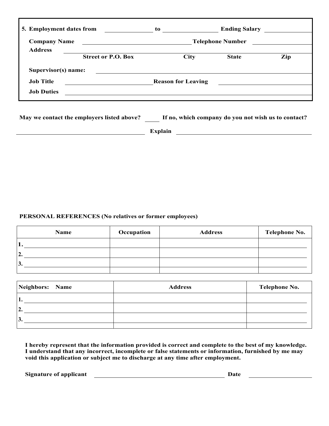| 5. Employment dates from |                                                                                                                      | to                        | <b>Ending Salary</b>    |     |
|--------------------------|----------------------------------------------------------------------------------------------------------------------|---------------------------|-------------------------|-----|
| <b>Company Name</b>      | <u> 1989 - Jan Stein Stein Stein Stein Stein Stein Stein Stein Stein Stein Stein Stein Stein Stein Stein Stein S</u> |                           | <b>Telephone Number</b> |     |
| <b>Address</b>           |                                                                                                                      |                           |                         |     |
|                          | <b>Street or P.O. Box</b>                                                                                            | <b>City</b>               | <b>State</b>            | Zip |
| Supervisor(s) name:      |                                                                                                                      |                           |                         |     |
| <b>Job Title</b>         |                                                                                                                      | <b>Reason for Leaving</b> |                         |     |
| <b>Job Duties</b>        |                                                                                                                      |                           |                         |     |
|                          |                                                                                                                      |                           |                         |     |

**May we contact the employers listed above? If no, which company do you not wish us to contact?** 

**Explain Explain Explain Explain Explain EXPLAIN** 

## **PERSONAL REFERENCES (No relatives or former employees)**

| Name | Occupation | <b>Address</b> | <b>Telephone No.</b> |
|------|------------|----------------|----------------------|
|      |            |                |                      |
| 2.   |            |                |                      |
| 3.   |            |                |                      |
|      |            |                |                      |

| Neighbors: Name | <b>Address</b> | <b>Telephone No.</b> |
|-----------------|----------------|----------------------|
| . .             |                |                      |
| ി<br>٠.         |                |                      |
| <sup>3.</sup>   |                |                      |
|                 |                |                      |

**I hereby represent that the information provided is correct and complete to the best of my knowledge. I understand that any incorrect, incomplete or false statements or information, furnished by me may void this application or subject me to discharge at any time after employment.** 

**Signature of applicant** <u>Conservation and the set of a particle</u> and the Date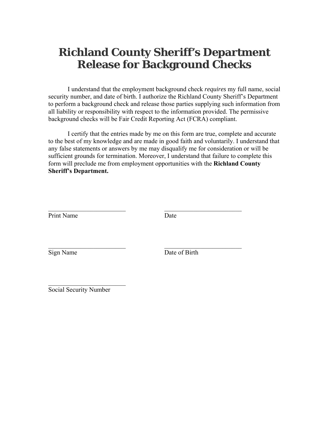# **Richland County Sheriff's Department Release for Background Checks**

I understand that the employment background check *requires* my full name, social security number, and date of birth. I authorize the Richland County Sheriff's Department to perform a background check and release those parties supplying such information from all liability or responsibility with respect to the information provided. The permissive background checks will be Fair Credit Reporting Act (FCRA) compliant.

I certify that the entries made by me on this form are true, complete and accurate to the best of my knowledge and are made in good faith and voluntarily. I understand that any false statements or answers by me may disqualify me for consideration or will be sufficient grounds for termination. Moreover, I understand that failure to complete this form will preclude me from employment opportunities with the **Richland County Sheriff's Department.** 

| Print Name | Date          |
|------------|---------------|
|            |               |
|            |               |
| Sign Name  | Date of Birth |

 $\overline{\phantom{a}}$  , which is a set of the set of the set of the set of the set of the set of the set of the set of the set of the set of the set of the set of the set of the set of the set of the set of the set of the set of th Social Security Number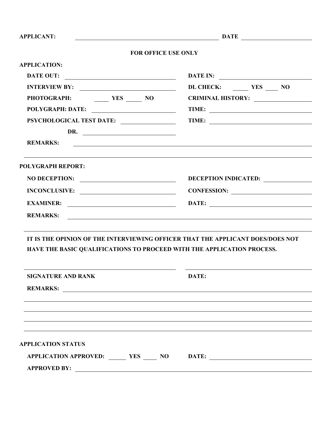| <b>APPLICANT:</b>                                                                                                                                        | $\begin{array}{c c c c c} \hline \multicolumn{3}{c }{\textbf{DATE}} & \multicolumn{3}{c }{\textbf{DATE}} \\ \hline \multicolumn{3}{c }{\textbf{DATE}} & \multicolumn{3}{c }{\textbf{DATE}} \\ \hline \end{array}$ |
|----------------------------------------------------------------------------------------------------------------------------------------------------------|-------------------------------------------------------------------------------------------------------------------------------------------------------------------------------------------------------------------|
| <b>FOR OFFICE USE ONLY</b>                                                                                                                               |                                                                                                                                                                                                                   |
| <b>APPLICATION:</b>                                                                                                                                      |                                                                                                                                                                                                                   |
| <b>DATE OUT:</b>                                                                                                                                         |                                                                                                                                                                                                                   |
|                                                                                                                                                          | DL CHECK: YES NO                                                                                                                                                                                                  |
| PHOTOGRAPH: YES NO                                                                                                                                       | CRIMINAL HISTORY:                                                                                                                                                                                                 |
| POLYGRAPH: DATE:                                                                                                                                         |                                                                                                                                                                                                                   |
|                                                                                                                                                          |                                                                                                                                                                                                                   |
| DR. $\qquad \qquad$                                                                                                                                      |                                                                                                                                                                                                                   |
| <b>REMARKS:</b>                                                                                                                                          | <u> 1986 - Johann Stoff, deutscher Stoffen und der Stoffen und der Stoffen und der Stoffen und der Stoffen und der</u>                                                                                            |
| <u> 1989 - Johann Harry Harry Harry Harry Harry Harry Harry Harry Harry Harry Harry Harry Harry Harry Harry Harry</u><br><b>POLYGRAPH REPORT:</b>        |                                                                                                                                                                                                                   |
| NO DECEPTION:                                                                                                                                            | DECEPTION INDICATED:                                                                                                                                                                                              |
| INCONCLUSIVE:                                                                                                                                            | CONFESSION:                                                                                                                                                                                                       |
|                                                                                                                                                          |                                                                                                                                                                                                                   |
| <b>REMARKS:</b>                                                                                                                                          | <u> 1989 - Johann Stoff, deutscher Stoff, der Stoff, der Stoff, der Stoff, der Stoff, der Stoff, der Stoff, der S</u>                                                                                             |
| IT IS THE OPINION OF THE INTERVIEWING OFFICER THAT THE APPLICANT DOES/DOES NOT<br>HAVE THE BASIC QUALIFICATIONS TO PROCEED WITH THE APPLICATION PROCESS. |                                                                                                                                                                                                                   |
| <b>SIGNATURE AND RANK</b>                                                                                                                                | DATE:                                                                                                                                                                                                             |
| <b>REMARKS:</b>                                                                                                                                          | <u> 1989 - Andrea San Andrea San Andrea San Andrea San Andrea San Andrea San Andrea San Andrea San Andrea San A</u>                                                                                               |
|                                                                                                                                                          |                                                                                                                                                                                                                   |
|                                                                                                                                                          |                                                                                                                                                                                                                   |
|                                                                                                                                                          |                                                                                                                                                                                                                   |
| <b>APPLICATION STATUS</b>                                                                                                                                |                                                                                                                                                                                                                   |
| APPLICATION APPROVED: _______ YES _____ NO DATE: _______________________________                                                                         |                                                                                                                                                                                                                   |